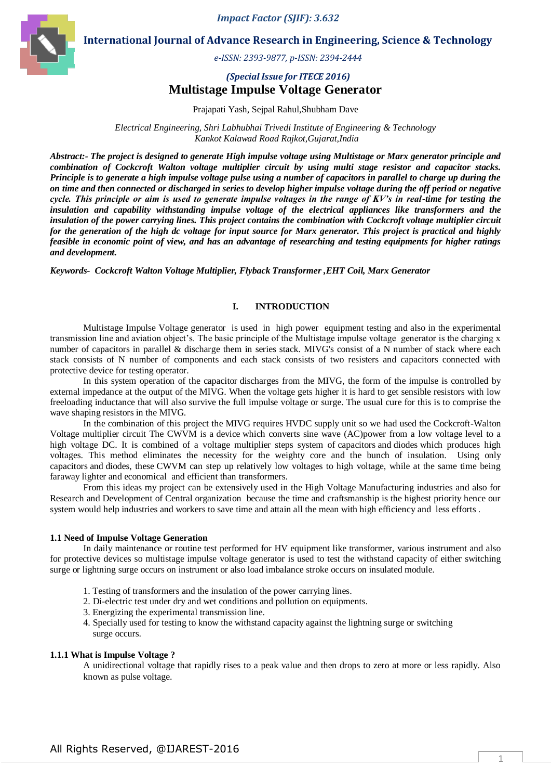*Impact Factor (SJIF): 3.632*



**International Journal of Advance Research in Engineering, Science & Technology**

*e-ISSN: 2393-9877, p-ISSN: 2394-2444*

## *(Special Issue for ITECE 2016)* **Multistage Impulse Voltage Generator**

Prajapati Yash, Sejpal Rahul,Shubham Dave

*Electrical Engineering, Shri Labhubhai Trivedi Institute of Engineering & Technology Kankot Kalawad Road Rajkot,Gujarat,India*

*Abstract:- The project is designed to generate High impulse voltage using Multistage or Marx generator principle and combination of Cockcroft Walton voltage multiplier circuit by using multi stage resistor and capacitor stacks. Principle is to generate a high impulse voltage pulse using a number of capacitors in parallel to charge up during the on time and then connected or discharged in series to develop higher impulse voltage during the off period or negative cycle. This principle or aim is used to generate impulse voltages in the range of KV's in real-time for testing the insulation and capability withstanding impulse voltage of the electrical appliances like transformers and the insulation of the power carrying lines. This project contains the combination with Cockcroft voltage multiplier circuit for the generation of the high dc voltage for input source for Marx generator. This project is practical and highly feasible in economic point of view, and has an advantage of researching and testing equipments for higher ratings and development.* 

*Keywords- Cockcroft Walton Voltage Multiplier, Flyback Transformer ,EHT Coil, Marx Generator*

#### **I. INTRODUCTION**

Multistage Impulse Voltage generator is used in high power equipment testing and also in the experimental transmission line and aviation object's. The basic principle of the Multistage impulse voltage generator is the charging x number of capacitors in parallel & discharge them in series stack. MIVG's consist of a N number of stack where each stack consists of N number of components and each stack consists of two resisters and capacitors connected with protective device for testing operator.

In this system operation of the capacitor discharges from the MIVG, the form of the impulse is controlled by external impedance at the output of the MIVG. When the voltage gets higher it is hard to get sensible resistors with low freeloading inductance that will also survive the full impulse voltage or surge. The usual cure for this is to comprise the wave shaping resistors in the MIVG.

In the combination of this project the MIVG requires HVDC supply unit so we had used the Cockcroft-Walton Voltage multiplier circuit The CWVM is a device which converts sine wave (AC)power from a low voltage level to a high voltage DC. It is combined of a voltage multiplier steps system of capacitors and diodes which produces high voltages. This method eliminates the necessity for the weighty core and the bunch of insulation. Using only capacitors and diodes, these CWVM can step up relatively low voltages to high voltage, while at the same time being faraway lighter and economical and efficient than transformers.

From this ideas my project can be extensively used in the High Voltage Manufacturing industries and also for Research and Development of Central organization because the time and craftsmanship is the highest priority hence our system would help industries and workers to save time and attain all the mean with high efficiency and less efforts .

#### **1.1 Need of Impulse Voltage Generation**

In daily maintenance or routine test performed for HV equipment like transformer, various instrument and also for protective devices so multistage impulse voltage generator is used to test the withstand capacity of either switching surge or lightning surge occurs on instrument or also load imbalance stroke occurs on insulated module.

- 1. Testing of transformers and the insulation of the power carrying lines.
- 2. Di-electric test under dry and wet conditions and pollution on equipments.
- 3. Energizing the experimental transmission line.
- 4. Specially used for testing to know the withstand capacity against the lightning surge or switching surge occurs.

### **1.1.1 What is Impulse Voltage ?**

A unidirectional voltage that rapidly rises to a peak value and then drops to zero at more or less rapidly. Also known as pulse voltage.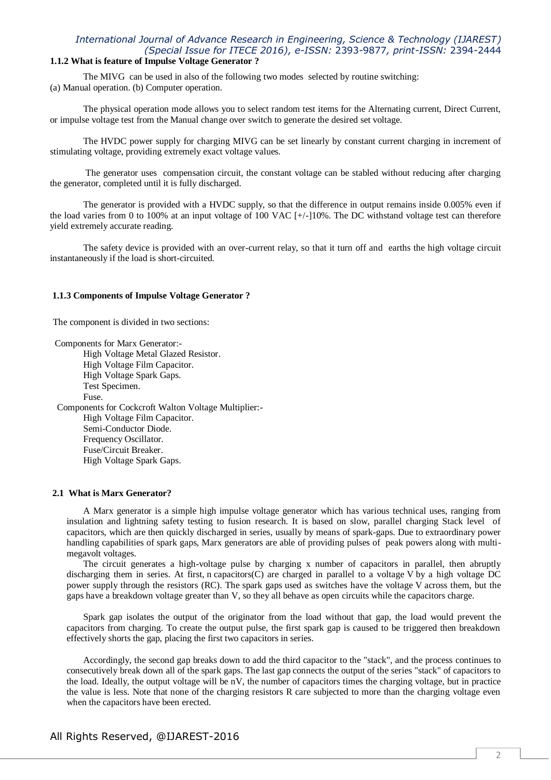## **1.1.2 What is feature of Impulse Voltage Generator ?**

The MIVG can be used in also of the following two modes selected by routine switching: (a) Manual operation. (b) Computer operation.

The physical operation mode allows you to select random test items for the Alternating current, Direct Current, or impulse voltage test from the Manual change over switch to generate the desired set voltage.

The HVDC power supply for charging MIVG can be set linearly by constant current charging in increment of stimulating voltage, providing extremely exact voltage values.

The generator uses compensation circuit, the constant voltage can be stabled without reducing after charging the generator, completed until it is fully discharged.

The generator is provided with a HVDC supply, so that the difference in output remains inside 0.005% even if the load varies from 0 to 100% at an input voltage of 100 VAC [+/-]10%. The DC withstand voltage test can therefore yield extremely accurate reading.

The safety device is provided with an over-current relay, so that it turn off and earths the high voltage circuit instantaneously if the load is short-circuited.

#### **1.1.3 Components of Impulse Voltage Generator ?**

The component is divided in two sections:

Components for Marx Generator:- High Voltage Metal Glazed Resistor. High Voltage Film Capacitor. High Voltage Spark Gaps. Test Specimen. Fuse. Components for Cockcroft Walton Voltage Multiplier:- High Voltage Film Capacitor. Semi-Conductor Diode. Frequency Oscillator. Fuse/Circuit Breaker. High Voltage Spark Gaps.

### **2.1 What is Marx Generator?**

A Marx generator is a simple high impulse voltage generator which has various technical uses, ranging from insulation and lightning safety testing to fusion research. It is based on slow, parallel charging Stack level of capacitors, which are then quickly discharged in series, usually by means of spark-gaps. Due to extraordinary power handling capabilities of spark gaps, Marx generators are able of providing pulses of peak powers along with multimegavolt voltages.

The circuit generates a high-voltage pulse by charging x number of capacitors in parallel, then abruptly discharging them in series. At first, n capacitors(C) are charged in parallel to a voltage V by a high voltage DC power supply through the resistors (RC). The spark gaps used as switches have the voltage V across them, but the gaps have a breakdown voltage greater than V, so they all behave as open circuits while the capacitors charge.

Spark gap isolates the output of the originator from the load without that gap, the load would prevent the capacitors from charging. To create the output pulse, the first spark gap is caused to be triggered then breakdown effectively shorts the gap, placing the first two capacitors in series.

Accordingly, the second gap breaks down to add the third capacitor to the "stack", and the process continues to consecutively break down all of the spark gaps. The last gap connects the output of the series "stack" of capacitors to the load. Ideally, the output voltage will be nV, the number of capacitors times the charging voltage, but in practice the value is less. Note that none of the charging resistors R care subjected to more than the charging voltage even when the capacitors have been erected.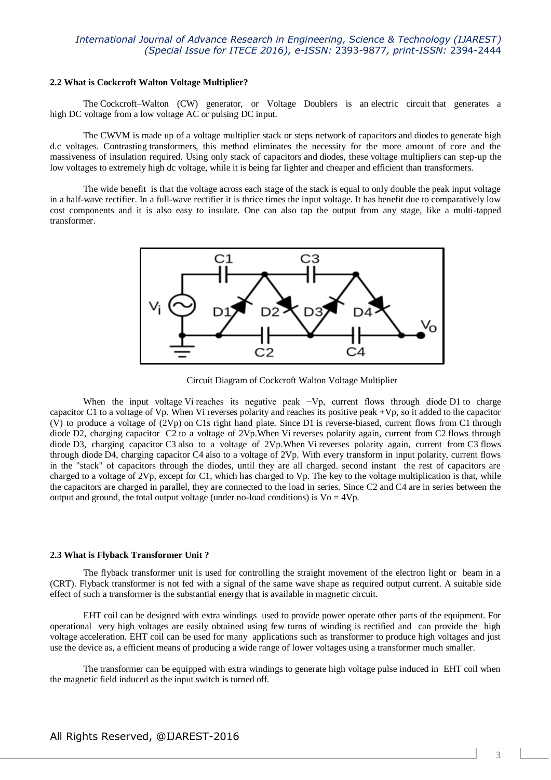#### **2.2 What is Cockcroft Walton Voltage Multiplier?**

The Cockcroft–Walton (CW) generator, or Voltage Doublers is an electric circuit that generates a high DC voltage from a low voltage AC or pulsing DC input.

The CWVM is made up of a voltage multiplier stack or steps network of capacitors and diodes to generate high d.c voltages. Contrasting transformers, this method eliminates the necessity for the more amount of core and the massiveness of insulation required. Using only stack of capacitors and diodes, these voltage multipliers can step-up the low voltages to extremely high dc voltage, while it is being far lighter and cheaper and efficient than transformers.

The wide benefit is that the voltage across each stage of the stack is equal to only double the peak input voltage in a half-wave rectifier. In a full-wave rectifier it is thrice times the input voltage. It has benefit due to comparatively low cost components and it is also easy to insulate. One can also tap the output from any stage, like a multi-tapped transformer.



Circuit Diagram of Cockcroft Walton Voltage Multiplier

When the input voltage Vi reaches its negative peak −Vp, current flows through diode D1 to charge capacitor C1 to a voltage of Vp. When Vi reverses polarity and reaches its positive peak +Vp, so it added to the capacitor (V) to produce a voltage of  $(2Vp)$  on C1s right hand plate. Since D1 is reverse-biased, current flows from C1 through diode D2, charging capacitor C2 to a voltage of 2Vp.When Vi reverses polarity again, current from C2 flows through diode D3, charging capacitor C3 also to a voltage of 2Vp.When Vi reverses polarity again, current from C3 flows through diode D4, charging capacitor C4 also to a voltage of 2Vp. With every transform in input polarity, current flows in the "stack" of capacitors through the diodes, until they are all charged. second instant the rest of capacitors are charged to a voltage of 2Vp, except for C1, which has charged to Vp. The key to the voltage multiplication is that, while the capacitors are charged in parallel, they are connected to the load in series. Since C2 and C4 are in series between the output and ground, the total output voltage (under no-load conditions) is  $Vo = 4Vp$ .

### **2.3 What is Flyback Transformer Unit ?**

The flyback transformer unit is used for controlling the straight movement of the electron light or beam in a (CRT). Flyback transformer is not fed with a signal of the same wave shape as required output current. A suitable side effect of such a transformer is the substantial energy that is available in magnetic circuit.

EHT coil can be designed with extra windings used to provide power operate other parts of the equipment. For operational very high voltages are easily obtained using few turns of winding is rectified and can provide the high voltage acceleration. EHT coil can be used for many applications such as transformer to produce high voltages and just use the device as, a efficient means of producing a wide range of lower voltages using a transformer much smaller.

The transformer can be equipped with extra windings to generate high voltage pulse induced in EHT coil when the magnetic field induced as the input switch is turned off.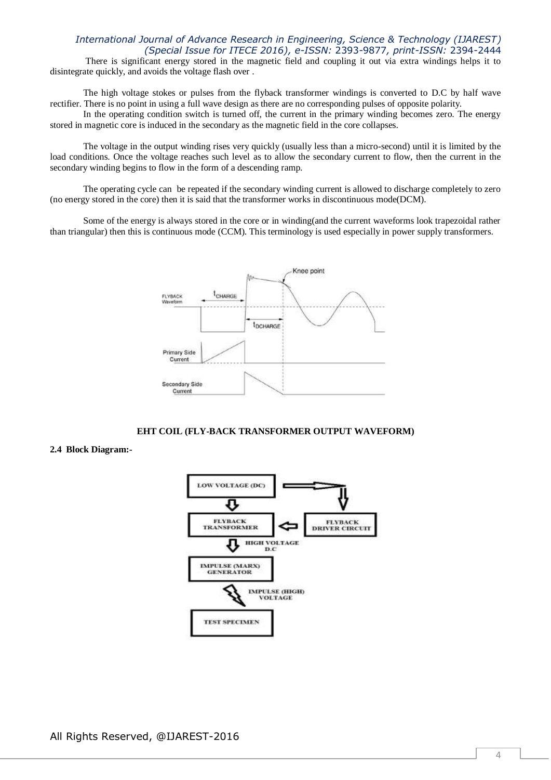There is significant energy stored in the magnetic field and coupling it out via extra windings helps it to disintegrate quickly, and avoids the voltage flash over .

The high voltage stokes or pulses from the flyback transformer windings is converted to D.C by half wave rectifier. There is no point in using a full wave design as there are no corresponding pulses of opposite polarity.

In the operating condition switch is turned off, the current in the primary winding becomes zero. The energy stored in magnetic core is induced in the secondary as the magnetic field in the core collapses.

The voltage in the output winding rises very quickly (usually less than a micro-second) until it is limited by the load conditions. Once the voltage reaches such level as to allow the secondary current to flow, then the current in the secondary winding begins to flow in the form of a descending ramp.

The operating cycle can be repeated if the secondary winding current is allowed to discharge completely to zero (no energy stored in the core) then it is said that the transformer works in discontinuous mode(DCM).

Some of the energy is always stored in the core or in winding(and the current waveforms look trapezoidal rather than triangular) then this is continuous mode (CCM). This terminology is used especially in power supply transformers.



#### **EHT COIL (FLY-BACK TRANSFORMER OUTPUT WAVEFORM)**

### **2.4 Block Diagram:-**